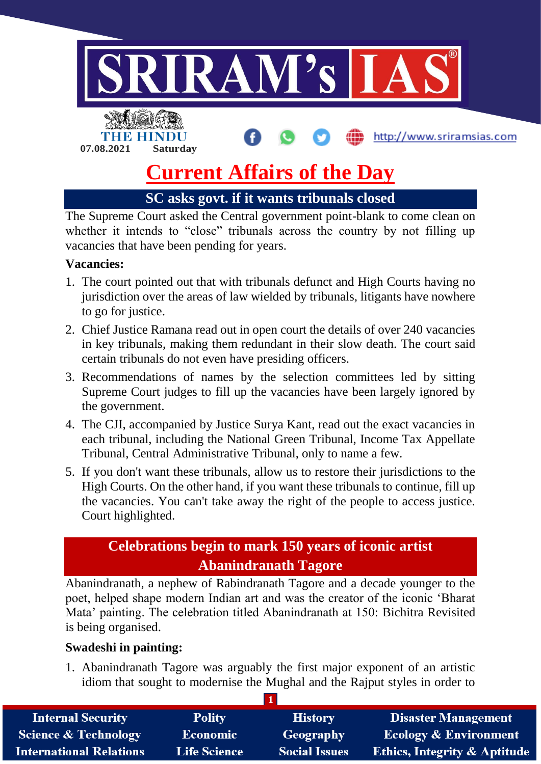

# **Current Affairs of the Day**

**SC asks govt. if it wants tribunals closed**

The Supreme Court asked the Central government point-blank to come clean on whether it intends to "close" tribunals across the country by not filling up vacancies that have been pending for years.

## **Vacancies:**

- 1. The court pointed out that with tribunals defunct and High Courts having no jurisdiction over the areas of law wielded by tribunals, litigants have nowhere to go for justice.
- 2. Chief Justice Ramana read out in open court the details of over 240 vacancies in key tribunals, making them redundant in their slow death. The court said certain tribunals do not even have presiding officers.
- 3. Recommendations of names by the selection committees led by sitting Supreme Court judges to fill up the vacancies have been largely ignored by the government.
- 4. The CJI, accompanied by Justice Surya Kant, read out the exact vacancies in each tribunal, including the National Green Tribunal, Income Tax Appellate Tribunal, Central Administrative Tribunal, only to name a few.
- 5. If you don't want these tribunals, allow us to restore their jurisdictions to the High Courts. On the other hand, if you want these tribunals to continue, fill up the vacancies. You can't take away the right of the people to access justice. Court highlighted.

## **Celebrations begin to mark 150 years of iconic artist Abanindranath Tagore**

Abanindranath, a nephew of Rabindranath Tagore and a decade younger to the poet, helped shape modern Indian art and was the creator of the iconic 'Bharat Mata' painting. The celebration titled Abanindranath at 150: Bichitra Revisited is being organised.

#### **Swadeshi in painting:**

1. Abanindranath Tagore was arguably the first major exponent of an artistic idiom that sought to modernise the Mughal and the Rajput styles in order to

| <b>Internal Security</b>        | <b>Polity</b>       | <b>History</b>       | <b>Disaster Management</b>              |
|---------------------------------|---------------------|----------------------|-----------------------------------------|
| <b>Science &amp; Technology</b> | <b>Economic</b>     | <b>Geography</b>     | <b>Ecology &amp; Environment</b>        |
| <b>International Relations</b>  | <b>Life Science</b> | <b>Social Issues</b> | <b>Ethics, Integrity &amp; Aptitude</b> |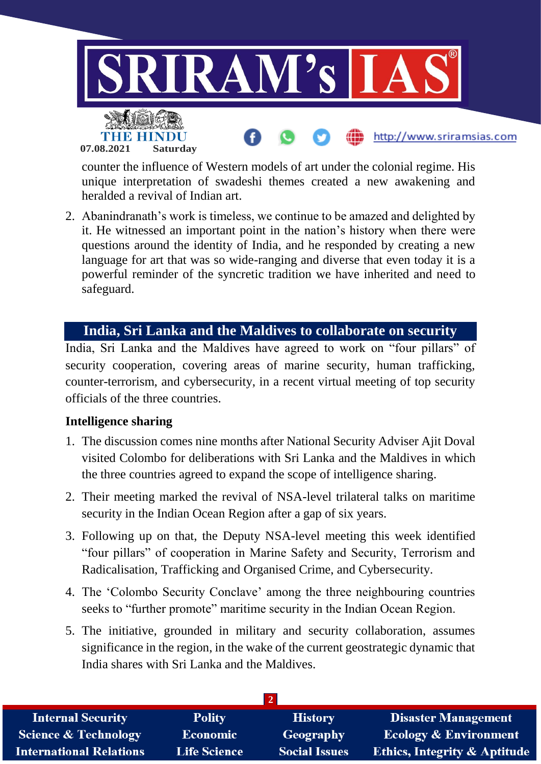

counter the influence of Western models of art under the colonial regime. His unique interpretation of swadeshi themes created a new awakening and heralded a revival of Indian art.

2. Abanindranath's work is timeless, we continue to be amazed and delighted by it. He witnessed an important point in the nation's history when there were questions around the identity of India, and he responded by creating a new language for art that was so wide-ranging and diverse that even today it is a powerful reminder of the syncretic tradition we have inherited and need to safeguard.

## **India, Sri Lanka and the Maldives to collaborate on security**

India, Sri Lanka and the Maldives have agreed to work on "four pillars" of security cooperation, covering areas of marine security, human trafficking, counter-terrorism, and cybersecurity, in a recent virtual meeting of top security officials of the three countries.

#### **Intelligence sharing**

- 1. The discussion comes nine months after National Security Adviser Ajit Doval visited Colombo for deliberations with Sri Lanka and the Maldives in which the three countries agreed to expand the scope of intelligence sharing.
- 2. Their meeting marked the revival of NSA-level trilateral talks on maritime security in the Indian Ocean Region after a gap of six years.
- 3. Following up on that, the Deputy NSA-level meeting this week identified "four pillars" of cooperation in Marine Safety and Security, Terrorism and Radicalisation, Trafficking and Organised Crime, and Cybersecurity.
- 4. The 'Colombo Security Conclave' among the three neighbouring countries seeks to "further promote" maritime security in the Indian Ocean Region.
- 5. The initiative, grounded in military and security collaboration, assumes significance in the region, in the wake of the current geostrategic dynamic that India shares with Sri Lanka and the Maldives.

| <b>Internal Security</b>        | <b>Polity</b>       | <b>History</b>       | <b>Disaster Management</b>              |
|---------------------------------|---------------------|----------------------|-----------------------------------------|
| <b>Science &amp; Technology</b> | <b>Economic</b>     | Geography            | <b>Ecology &amp; Environment</b>        |
| <b>International Relations</b>  | <b>Life Science</b> | <b>Social Issues</b> | <b>Ethics, Integrity &amp; Aptitude</b> |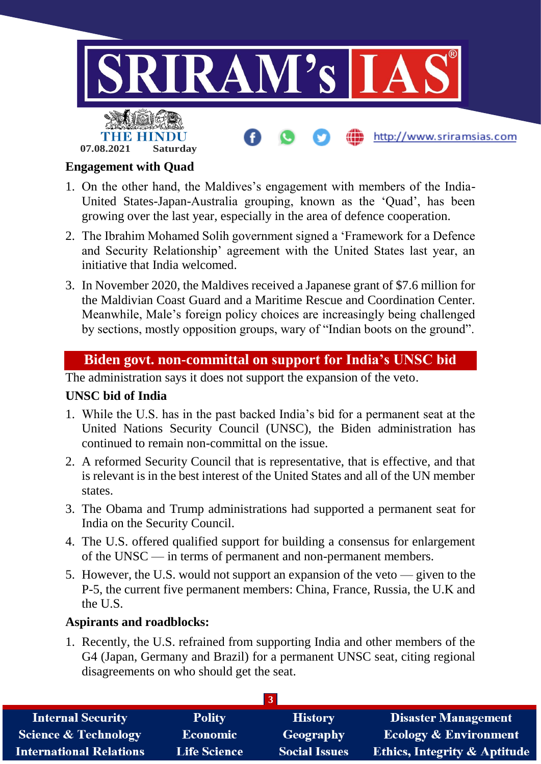

#### **Engagement with Quad**

- 1. On the other hand, the Maldives's engagement with members of the India-United States-Japan-Australia grouping, known as the 'Quad', has been growing over the last year, especially in the area of defence cooperation.
- 2. The Ibrahim Mohamed Solih government signed a 'Framework for a Defence and Security Relationship' agreement with the United States last year, an initiative that India welcomed.
- 3. In November 2020, the Maldives received a Japanese grant of \$7.6 million for the Maldivian Coast Guard and a Maritime Rescue and Coordination Center. Meanwhile, Male's foreign policy choices are increasingly being challenged by sections, mostly opposition groups, wary of "Indian boots on the ground".

## **Biden govt. non-committal on support for India's UNSC bid**

The administration says it does not support the expansion of the veto.

## **UNSC bid of India**

- 1. While the U.S. has in the past backed India's bid for a permanent seat at the United Nations Security Council (UNSC), the Biden administration has continued to remain non-committal on the issue.
- 2. A reformed Security Council that is representative, that is effective, and that is relevant is in the best interest of the United States and all of the UN member states.
- 3. The Obama and Trump administrations had supported a permanent seat for India on the Security Council.
- 4. The U.S. offered qualified support for building a consensus for enlargement of the UNSC — in terms of permanent and non-permanent members.
- 5. However, the U.S. would not support an expansion of the veto given to the P-5, the current five permanent members: China, France, Russia, the U.K and the U.S.

#### **Aspirants and roadblocks:**

1. Recently, the U.S. refrained from supporting India and other members of the G4 (Japan, Germany and Brazil) for a permanent UNSC seat, citing regional disagreements on who should get the seat.

| <b>Internal Security</b>        | <b>Polity</b>       | <b>History</b>       | <b>Disaster Management</b>              |
|---------------------------------|---------------------|----------------------|-----------------------------------------|
| <b>Science &amp; Technology</b> | <b>Economic</b>     | Geography            | <b>Ecology &amp; Environment</b>        |
| <b>International Relations</b>  | <b>Life Science</b> | <b>Social Issues</b> | <b>Ethics, Integrity &amp; Aptitude</b> |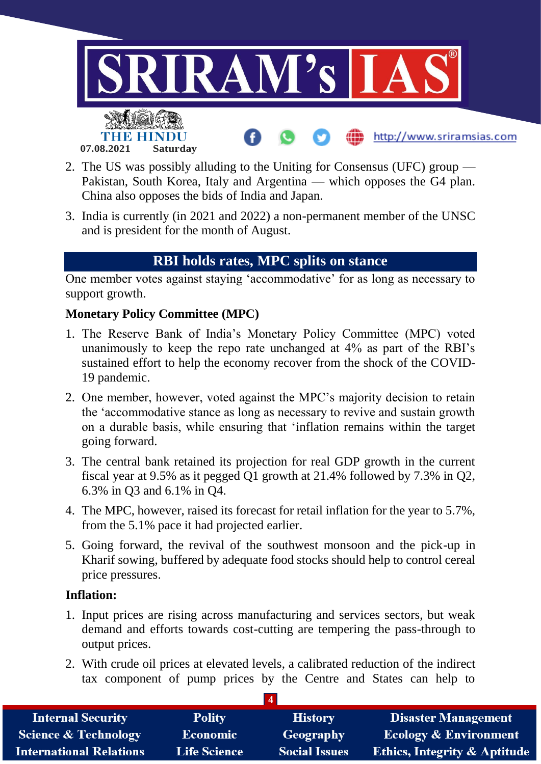

- 2. The US was possibly alluding to the Uniting for Consensus (UFC) group Pakistan, South Korea, Italy and Argentina — which opposes the G4 plan. China also opposes the bids of India and Japan.
- 3. India is currently (in 2021 and 2022) a non-permanent member of the UNSC and is president for the month of August.

## **RBI holds rates, MPC splits on stance**

One member votes against staying 'accommodative' for as long as necessary to support growth.

## **Monetary Policy Committee (MPC)**

- 1. The Reserve Bank of India's Monetary Policy Committee (MPC) voted unanimously to keep the repo rate unchanged at 4% as part of the RBI's sustained effort to help the economy recover from the shock of the COVID-19 pandemic.
- 2. One member, however, voted against the MPC's majority decision to retain the 'accommodative stance as long as necessary to revive and sustain growth on a durable basis, while ensuring that 'inflation remains within the target going forward.
- 3. The central bank retained its projection for real GDP growth in the current fiscal year at 9.5% as it pegged Q1 growth at 21.4% followed by 7.3% in Q2, 6.3% in Q3 and 6.1% in Q4.
- 4. The MPC, however, raised its forecast for retail inflation for the year to 5.7%, from the 5.1% pace it had projected earlier.
- 5. Going forward, the revival of the southwest monsoon and the pick-up in Kharif sowing, buffered by adequate food stocks should help to control cereal price pressures.

#### **Inflation:**

- 1. Input prices are rising across manufacturing and services sectors, but weak demand and efforts towards cost-cutting are tempering the pass-through to output prices.
- 2. With crude oil prices at elevated levels, a calibrated reduction of the indirect tax component of pump prices by the Centre and States can help to

| <b>Internal Security</b>        | <b>Polity</b>       | <b>History</b>       | <b>Disaster Management</b>              |
|---------------------------------|---------------------|----------------------|-----------------------------------------|
| <b>Science &amp; Technology</b> | <b>Economic</b>     | Geography            | <b>Ecology &amp; Environment</b>        |
| <b>International Relations</b>  | <b>Life Science</b> | <b>Social Issues</b> | <b>Ethics, Integrity &amp; Aptitude</b> |